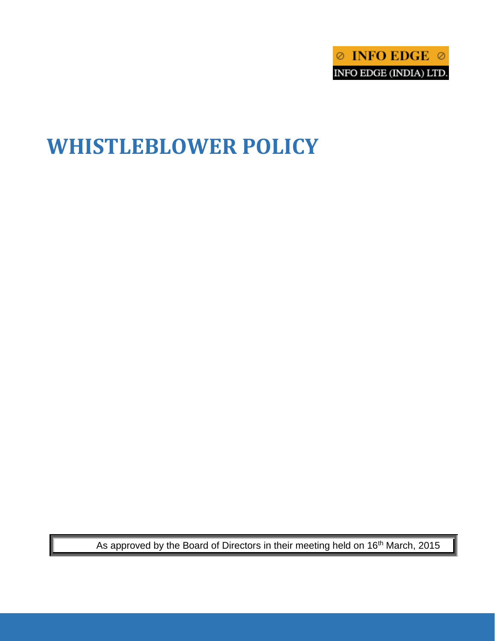

# **WHISTLEBLOWER POLICY**

As approved by the Board of Directors in their meeting held on 16<sup>th</sup> March, 2015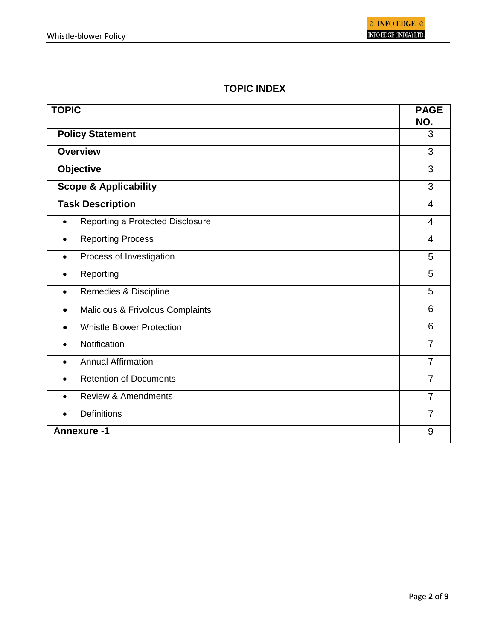## **TOPIC INDEX**

| <b>TOPIC</b>                                  | <b>PAGE</b><br>NO. |
|-----------------------------------------------|--------------------|
| <b>Policy Statement</b>                       | 3                  |
| <b>Overview</b>                               | 3                  |
| <b>Objective</b>                              | 3                  |
| <b>Scope &amp; Applicability</b>              | 3                  |
| <b>Task Description</b>                       | $\overline{4}$     |
| Reporting a Protected Disclosure              | $\overline{4}$     |
| <b>Reporting Process</b><br>$\bullet$         | 4                  |
| Process of Investigation<br>$\bullet$         | 5                  |
| Reporting<br>$\bullet$                        | 5                  |
| Remedies & Discipline<br>$\bullet$            | 5                  |
| Malicious & Frivolous Complaints<br>$\bullet$ | 6                  |
| <b>Whistle Blower Protection</b>              | 6                  |
| Notification                                  | $\overline{7}$     |
| <b>Annual Affirmation</b><br>$\bullet$        | $\overline{7}$     |
| <b>Retention of Documents</b><br>$\bullet$    | $\overline{7}$     |
| <b>Review &amp; Amendments</b><br>$\bullet$   | $\overline{7}$     |
| <b>Definitions</b><br>$\bullet$               | 7                  |
| <b>Annexure-1</b>                             | 9                  |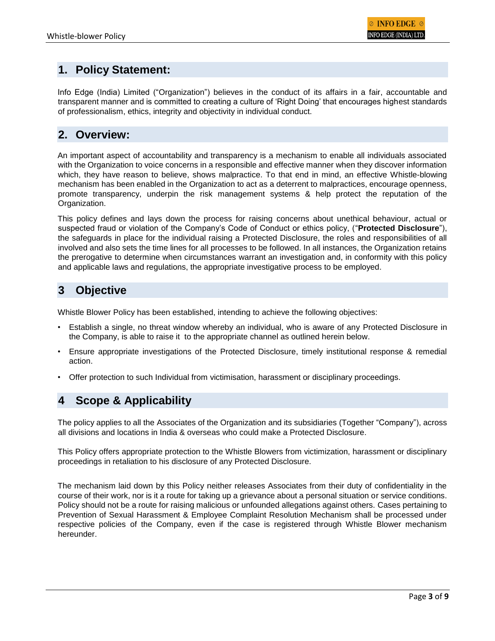# **1. Policy Statement:**

Info Edge (India) Limited ("Organization") believes in the conduct of its affairs in a fair, accountable and transparent manner and is committed to creating a culture of 'Right Doing' that encourages highest standards of professionalism, ethics, integrity and objectivity in individual conduct.

## **2. Overview:**

An important aspect of accountability and transparency is a mechanism to enable all individuals associated with the Organization to voice concerns in a responsible and effective manner when they discover information which, they have reason to believe, shows malpractice. To that end in mind, an effective Whistle-blowing mechanism has been enabled in the Organization to act as a deterrent to malpractices, encourage openness, promote transparency, underpin the risk management systems & help protect the reputation of the Organization.

This policy defines and lays down the process for raising concerns about unethical behaviour, actual or suspected fraud or violation of the Company's Code of Conduct or ethics policy, ("**Protected Disclosure**"), the safeguards in place for the individual raising a Protected Disclosure, the roles and responsibilities of all involved and also sets the time lines for all processes to be followed. In all instances, the Organization retains the prerogative to determine when circumstances warrant an investigation and, in conformity with this policy and applicable laws and regulations, the appropriate investigative process to be employed.

# **3 Objective**

Whistle Blower Policy has been established, intending to achieve the following objectives:

- Establish a single, no threat window whereby an individual, who is aware of any Protected Disclosure in the Company, is able to raise it to the appropriate channel as outlined herein below.
- Ensure appropriate investigations of the Protected Disclosure, timely institutional response & remedial action.
- Offer protection to such Individual from victimisation, harassment or disciplinary proceedings.

# **4 Scope & Applicability**

The policy applies to all the Associates of the Organization and its subsidiaries (Together "Company"), across all divisions and locations in India & overseas who could make a Protected Disclosure.

This Policy offers appropriate protection to the Whistle Blowers from victimization, harassment or disciplinary proceedings in retaliation to his disclosure of any Protected Disclosure.

The mechanism laid down by this Policy neither releases Associates from their duty of confidentiality in the course of their work, nor is it a route for taking up a grievance about a personal situation or service conditions. Policy should not be a route for raising malicious or unfounded allegations against others. Cases pertaining to Prevention of Sexual Harassment & Employee Complaint Resolution Mechanism shall be processed under respective policies of the Company, even if the case is registered through Whistle Blower mechanism hereunder.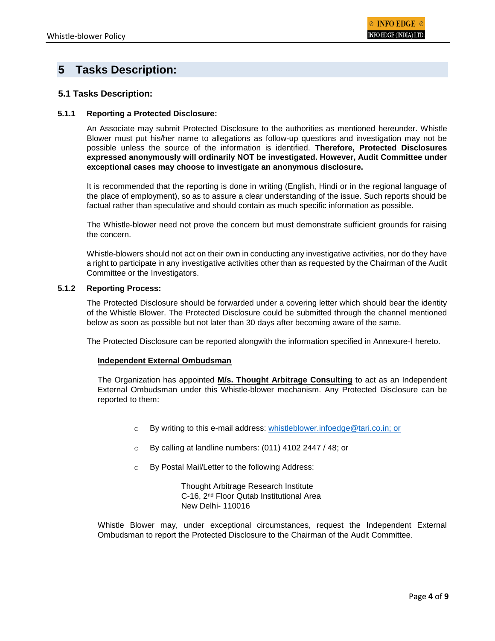## **5 Tasks Description:**

## **5.1 Tasks Description:**

#### **5.1.1 Reporting a Protected Disclosure:**

An Associate may submit Protected Disclosure to the authorities as mentioned hereunder. Whistle Blower must put his/her name to allegations as follow-up questions and investigation may not be possible unless the source of the information is identified. **Therefore, Protected Disclosures expressed anonymously will ordinarily NOT be investigated. However, Audit Committee under exceptional cases may choose to investigate an anonymous disclosure.**

It is recommended that the reporting is done in writing (English, Hindi or in the regional language of the place of employment), so as to assure a clear understanding of the issue. Such reports should be factual rather than speculative and should contain as much specific information as possible.

The Whistle-blower need not prove the concern but must demonstrate sufficient grounds for raising the concern.

Whistle-blowers should not act on their own in conducting any investigative activities, nor do they have a right to participate in any investigative activities other than as requested by the Chairman of the Audit Committee or the Investigators.

#### **5.1.2 Reporting Process:**

The Protected Disclosure should be forwarded under a covering letter which should bear the identity of the Whistle Blower. The Protected Disclosure could be submitted through the channel mentioned below as soon as possible but not later than 30 days after becoming aware of the same.

The Protected Disclosure can be reported alongwith the information specified in Annexure-I hereto.

#### **Independent External Ombudsman**

The Organization has appointed **M/s. Thought Arbitrage Consulting** to act as an Independent External Ombudsman under this Whistle-blower mechanism. Any Protected Disclosure can be reported to them:

- o By writing to this e-mail address: [whistleblower.infoedge@tari.co.in;](mailto:whistleblower.infoedge@tari.co.in) or
- o By calling at landline numbers: (011) 4102 2447 / 48; or
- o By Postal Mail/Letter to the following Address:

Thought Arbitrage Research Institute C-16, 2nd Floor Qutab Institutional Area New Delhi- 110016

Whistle Blower may, under exceptional circumstances, request the Independent External Ombudsman to report the Protected Disclosure to the Chairman of the Audit Committee.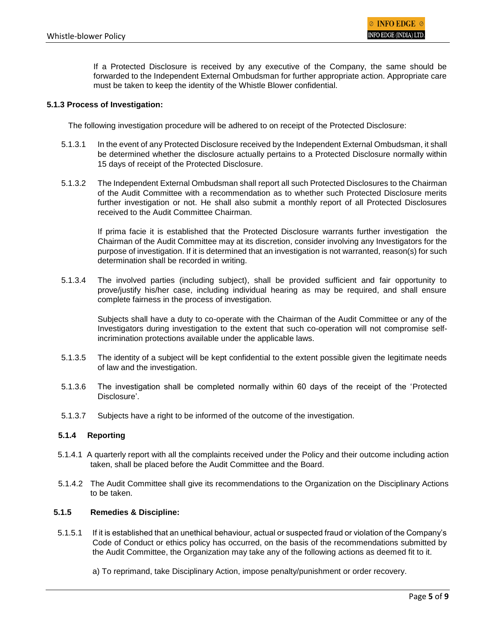If a Protected Disclosure is received by any executive of the Company, the same should be forwarded to the Independent External Ombudsman for further appropriate action. Appropriate care must be taken to keep the identity of the Whistle Blower confidential.

#### **5.1.3 Process of Investigation:**

The following investigation procedure will be adhered to on receipt of the Protected Disclosure:

- 5.1.3.1 In the event of any Protected Disclosure received by the Independent External Ombudsman, it shall be determined whether the disclosure actually pertains to a Protected Disclosure normally within 15 days of receipt of the Protected Disclosure.
- 5.1.3.2 The Independent External Ombudsman shall report all such Protected Disclosures to the Chairman of the Audit Committee with a recommendation as to whether such Protected Disclosure merits further investigation or not. He shall also submit a monthly report of all Protected Disclosures received to the Audit Committee Chairman.

If prima facie it is established that the Protected Disclosure warrants further investigation the Chairman of the Audit Committee may at its discretion, consider involving any Investigators for the purpose of investigation. If it is determined that an investigation is not warranted, reason(s) for such determination shall be recorded in writing.

5.1.3.4 The involved parties (including subject), shall be provided sufficient and fair opportunity to prove/justify his/her case, including individual hearing as may be required, and shall ensure complete fairness in the process of investigation.

Subjects shall have a duty to co-operate with the Chairman of the Audit Committee or any of the Investigators during investigation to the extent that such co-operation will not compromise selfincrimination protections available under the applicable laws.

- 5.1.3.5 The identity of a subject will be kept confidential to the extent possible given the legitimate needs of law and the investigation.
- 5.1.3.6 The investigation shall be completed normally within 60 days of the receipt of the 'Protected Disclosure'.
- 5.1.3.7 Subjects have a right to be informed of the outcome of the investigation.

#### **5.1.4 Reporting**

- 5.1.4.1 A quarterly report with all the complaints received under the Policy and their outcome including action taken, shall be placed before the Audit Committee and the Board.
- 5.1.4.2 The Audit Committee shall give its recommendations to the Organization on the Disciplinary Actions to be taken.

#### **5.1.5 Remedies & Discipline:**

- 5.1.5.1 If it is established that an unethical behaviour, actual or suspected fraud or violation of the Company's Code of Conduct or ethics policy has occurred, on the basis of the recommendations submitted by the Audit Committee, the Organization may take any of the following actions as deemed fit to it.
	- a) To reprimand, take Disciplinary Action, impose penalty/punishment or order recovery.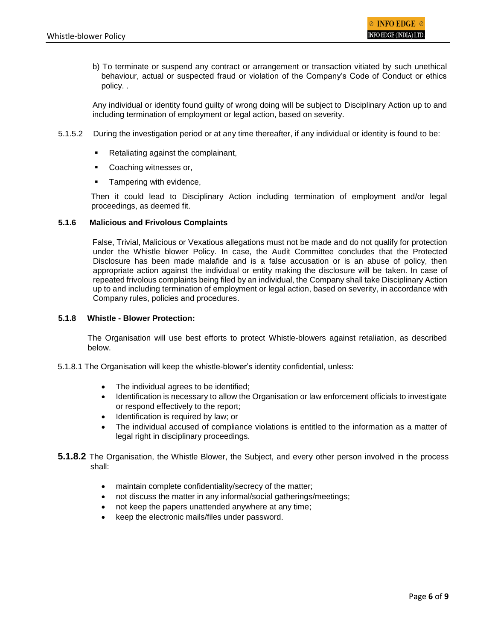b) To terminate or suspend any contract or arrangement or transaction vitiated by such unethical behaviour, actual or suspected fraud or violation of the Company's Code of Conduct or ethics policy. .

Any individual or identity found guilty of wrong doing will be subject to Disciplinary Action up to and including termination of employment or legal action, based on severity.

- 5.1.5.2 During the investigation period or at any time thereafter, if any individual or identity is found to be:
	- Retaliating against the complainant,
	- **Coaching witnesses or,**
	- Tampering with evidence,

Then it could lead to Disciplinary Action including termination of employment and/or legal proceedings, as deemed fit.

### **5.1.6 Malicious and Frivolous Complaints**

False, Trivial, Malicious or Vexatious allegations must not be made and do not qualify for protection under the Whistle blower Policy. In case, the Audit Committee concludes that the Protected Disclosure has been made malafide and is a false accusation or is an abuse of policy, then appropriate action against the individual or entity making the disclosure will be taken. In case of repeated frivolous complaints being filed by an individual, the Company shall take Disciplinary Action up to and including termination of employment or legal action, based on severity, in accordance with Company rules, policies and procedures.

#### **5.1.8 Whistle - Blower Protection:**

The Organisation will use best efforts to protect Whistle-blowers against retaliation, as described below.

- 5.1.8.1 The Organisation will keep the whistle-blower's identity confidential, unless:
	- The individual agrees to be identified;
	- Identification is necessary to allow the Organisation or law enforcement officials to investigate or respond effectively to the report;
	- Identification is required by law; or
	- The individual accused of compliance violations is entitled to the information as a matter of legal right in disciplinary proceedings.
- **5.1.8.2** The Organisation, the Whistle Blower, the Subject, and every other person involved in the process shall:
	- maintain complete confidentiality/secrecy of the matter;
	- not discuss the matter in any informal/social gatherings/meetings;
	- not keep the papers unattended anywhere at any time;
	- keep the electronic mails/files under password.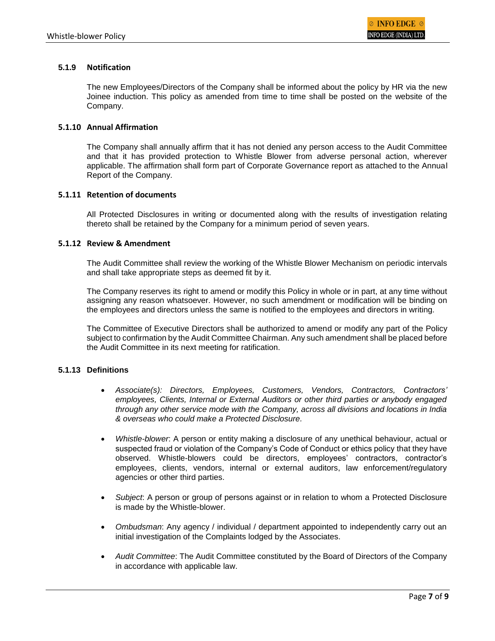## **5.1.9 Notification**

The new Employees/Directors of the Company shall be informed about the policy by HR via the new Joinee induction. This policy as amended from time to time shall be posted on the website of the Company.

### **5.1.10 Annual Affirmation**

The Company shall annually affirm that it has not denied any person access to the Audit Committee and that it has provided protection to Whistle Blower from adverse personal action, wherever applicable. The affirmation shall form part of Corporate Governance report as attached to the Annual Report of the Company.

#### **5.1.11 Retention of documents**

All Protected Disclosures in writing or documented along with the results of investigation relating thereto shall be retained by the Company for a minimum period of seven years.

### **5.1.12 Review & Amendment**

The Audit Committee shall review the working of the Whistle Blower Mechanism on periodic intervals and shall take appropriate steps as deemed fit by it.

The Company reserves its right to amend or modify this Policy in whole or in part, at any time without assigning any reason whatsoever. However, no such amendment or modification will be binding on the employees and directors unless the same is notified to the employees and directors in writing.

The Committee of Executive Directors shall be authorized to amend or modify any part of the Policy subject to confirmation by the Audit Committee Chairman. Any such amendment shall be placed before the Audit Committee in its next meeting for ratification.

## **5.1.13 Definitions**

- *Associate(s): Directors, Employees, Customers, Vendors, Contractors, Contractors' employees, Clients, Internal or External Auditors or other third parties or anybody engaged through any other service mode with the Company, across all divisions and locations in India & overseas who could make a Protected Disclosure.*
- *Whistle-blower*: A person or entity making a disclosure of any unethical behaviour, actual or suspected fraud or violation of the Company's Code of Conduct or ethics policy that they have observed. Whistle-blowers could be directors, employees' contractors, contractor's employees, clients, vendors, internal or external auditors, law enforcement/regulatory agencies or other third parties.
- *Subject*: A person or group of persons against or in relation to whom a Protected Disclosure is made by the Whistle-blower.
- *Ombudsman*: Any agency / individual / department appointed to independently carry out an initial investigation of the Complaints lodged by the Associates.
- *Audit Committee*: The Audit Committee constituted by the Board of Directors of the Company in accordance with applicable law.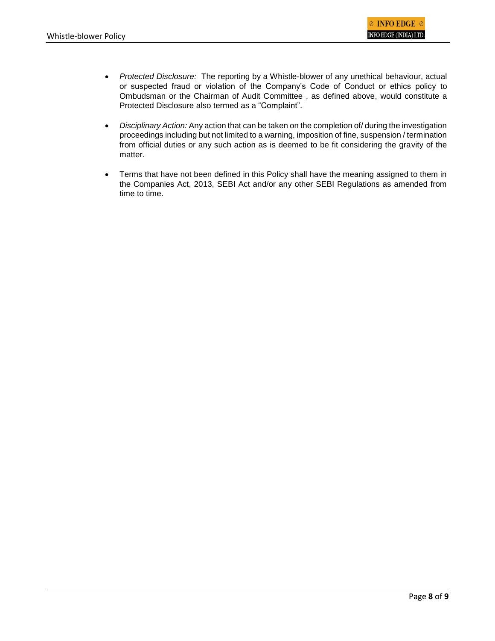- *Protected Disclosure:* The reporting by a Whistle-blower of any unethical behaviour, actual or suspected fraud or violation of the Company's Code of Conduct or ethics policy to Ombudsman or the Chairman of Audit Committee , as defined above, would constitute a Protected Disclosure also termed as a "Complaint".
- *Disciplinary Action:* Any action that can be taken on the completion of/ during the investigation proceedings including but not limited to a warning, imposition of fine, suspension / termination from official duties or any such action as is deemed to be fit considering the gravity of the matter.
- Terms that have not been defined in this Policy shall have the meaning assigned to them in the Companies Act, 2013, SEBI Act and/or any other SEBI Regulations as amended from time to time.